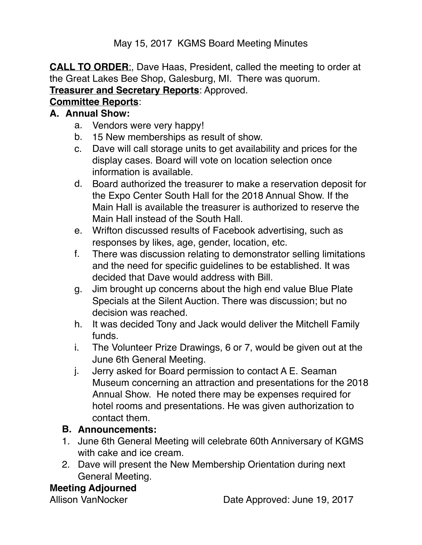May 15, 2017 KGMS Board Meeting Minutes

**CALL TO ORDER**:, Dave Haas, President, called the meeting to order at the Great Lakes Bee Shop, Galesburg, MI. There was quorum. **Treasurer and Secretary Reports**: Approved.

### **Committee Reports**:

#### **A. Annual Show:**

- a. Vendors were very happy!
- b. 15 New memberships as result of show.
- c. Dave will call storage units to get availability and prices for the display cases. Board will vote on location selection once information is available.
- d. Board authorized the treasurer to make a reservation deposit for the Expo Center South Hall for the 2018 Annual Show. If the Main Hall is available the treasurer is authorized to reserve the Main Hall instead of the South Hall.
- e. Wrifton discussed results of Facebook advertising, such as responses by likes, age, gender, location, etc.
- f. There was discussion relating to demonstrator selling limitations and the need for specific guidelines to be established. It was decided that Dave would address with Bill.
- g. Jim brought up concerns about the high end value Blue Plate Specials at the Silent Auction. There was discussion; but no decision was reached.
- h. It was decided Tony and Jack would deliver the Mitchell Family funds.
- i. The Volunteer Prize Drawings, 6 or 7, would be given out at the June 6th General Meeting.
- j. Jerry asked for Board permission to contact A E. Seaman Museum concerning an attraction and presentations for the 2018 Annual Show. He noted there may be expenses required for hotel rooms and presentations. He was given authorization to contact them.

# **B. Announcements:**

- 1. June 6th General Meeting will celebrate 60th Anniversary of KGMS with cake and ice cream.
- 2. Dave will present the New Membership Orientation during next General Meeting.

# **Meeting Adjourned**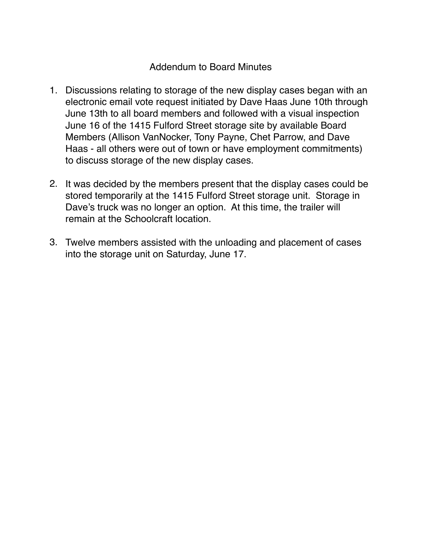#### Addendum to Board Minutes

- 1. Discussions relating to storage of the new display cases began with an electronic email vote request initiated by Dave Haas June 10th through June 13th to all board members and followed with a visual inspection June 16 of the 1415 Fulford Street storage site by available Board Members (Allison VanNocker, Tony Payne, Chet Parrow, and Dave Haas - all others were out of town or have employment commitments) to discuss storage of the new display cases.
- 2. It was decided by the members present that the display cases could be stored temporarily at the 1415 Fulford Street storage unit. Storage in Dave's truck was no longer an option. At this time, the trailer will remain at the Schoolcraft location.
- 3. Twelve members assisted with the unloading and placement of cases into the storage unit on Saturday, June 17.